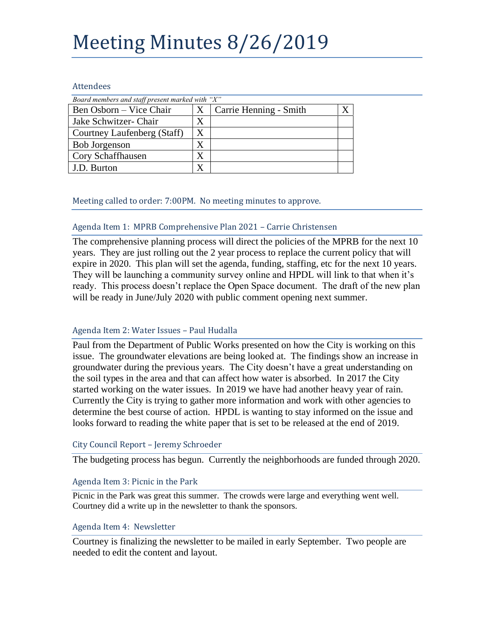# Meeting Minutes 8/26/2019

### Attendees

| Board members and staff present marked with "X" |                   |                        |  |
|-------------------------------------------------|-------------------|------------------------|--|
| Ben Osborn – Vice Chair                         |                   | Carrie Henning - Smith |  |
| Jake Schwitzer- Chair                           | $\rm\overline{X}$ |                        |  |
| Courtney Laufenberg (Staff)                     | X                 |                        |  |
| <b>Bob Jorgenson</b>                            | $\rm\overline{X}$ |                        |  |
| Cory Schaffhausen                               |                   |                        |  |
| J.D. Burton                                     | X                 |                        |  |

Meeting called to order: 7:00PM. No meeting minutes to approve.

# Agenda Item 1: MPRB Comprehensive Plan 2021 – Carrie Christensen

The comprehensive planning process will direct the policies of the MPRB for the next 10 years. They are just rolling out the 2 year process to replace the current policy that will expire in 2020. This plan will set the agenda, funding, staffing, etc for the next 10 years. They will be launching a community survey online and HPDL will link to that when it's ready. This process doesn't replace the Open Space document. The draft of the new plan will be ready in June/July 2020 with public comment opening next summer.

# Agenda Item 2: Water Issues – Paul Hudalla

Paul from the Department of Public Works presented on how the City is working on this issue. The groundwater elevations are being looked at. The findings show an increase in groundwater during the previous years. The City doesn't have a great understanding on the soil types in the area and that can affect how water is absorbed. In 2017 the City started working on the water issues. In 2019 we have had another heavy year of rain. Currently the City is trying to gather more information and work with other agencies to determine the best course of action. HPDL is wanting to stay informed on the issue and looks forward to reading the white paper that is set to be released at the end of 2019.

# City Council Report – Jeremy Schroeder

The budgeting process has begun. Currently the neighborhoods are funded through 2020.

# Agenda Item 3: Picnic in the Park

Picnic in the Park was great this summer. The crowds were large and everything went well. Courtney did a write up in the newsletter to thank the sponsors.

# Agenda Item 4: Newsletter

Courtney is finalizing the newsletter to be mailed in early September. Two people are needed to edit the content and layout.